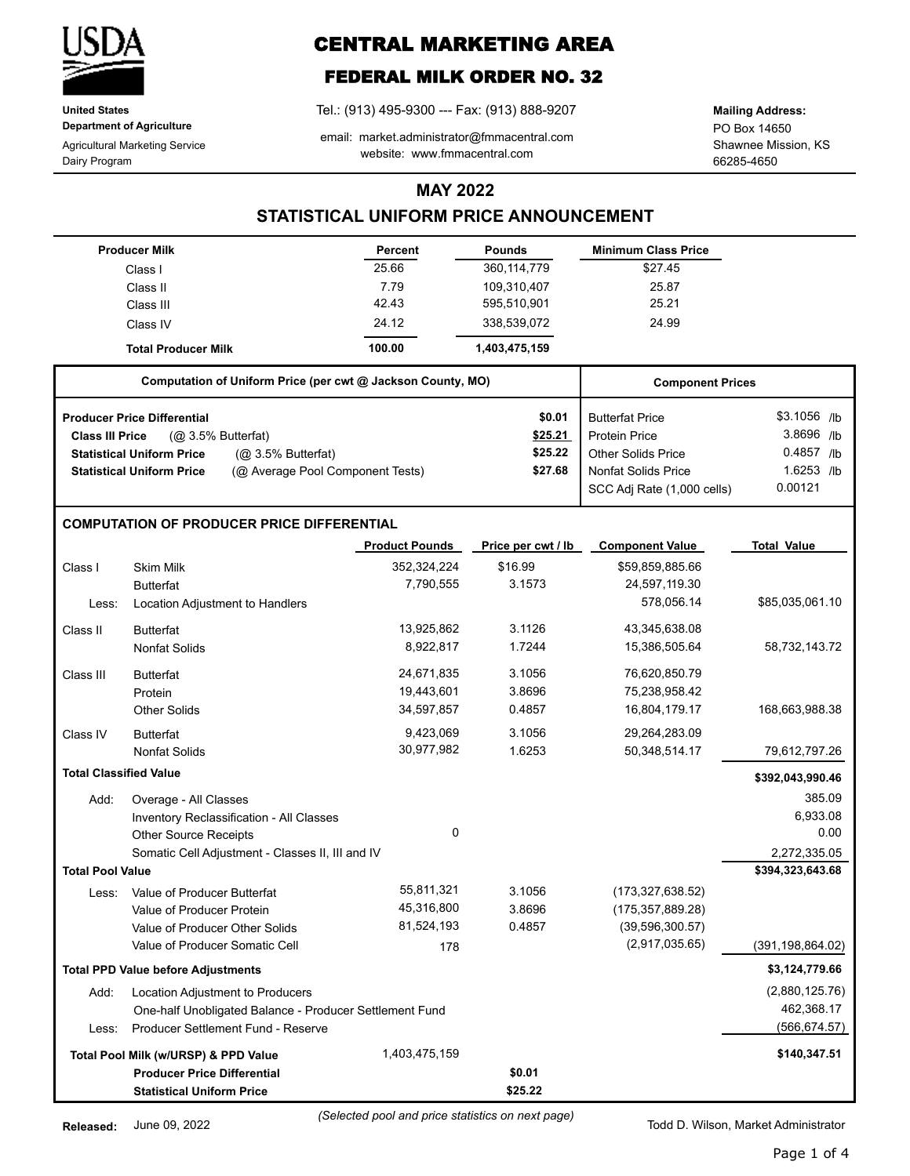

**United States Department of Agriculture**

Agricultural Marketing Service Dairy Program

# **CENTRAL MARKETING AREA**

## **FEDERAL MILK ORDER NO. 32**

Tel.: (913) 495-9300 --- Fax: (913) 888-9207

email: market.administrator@fmmacentral.com website: www.fmmacentral.com

PO Box 14650 **Mailing Address:**

Shawnee Mission, KS 66285-4650

## **MAY 2022**

## **STATISTICAL UNIFORM PRICE ANNOUNCEMENT**

|                                      | <b>Producer Milk</b>                                                 | Percent               | <b>Pounds</b>      | <b>Minimum Class Price</b> |                    |
|--------------------------------------|----------------------------------------------------------------------|-----------------------|--------------------|----------------------------|--------------------|
|                                      | Class I                                                              | 25.66                 | 360,114,779        | \$27.45                    |                    |
|                                      | Class II                                                             | 7.79                  | 109,310,407        | 25.87                      |                    |
|                                      | Class III                                                            | 42.43                 | 595,510,901        | 25.21                      |                    |
|                                      | Class IV                                                             | 24.12                 | 338,539,072        | 24.99                      |                    |
|                                      | <b>Total Producer Milk</b>                                           | 100.00                | 1,403,475,159      |                            |                    |
|                                      | Computation of Uniform Price (per cwt @ Jackson County, MO)          |                       |                    | <b>Component Prices</b>    |                    |
|                                      | <b>Producer Price Differential</b>                                   |                       | \$0.01             | <b>Butterfat Price</b>     | \$3.1056 /lb       |
| <b>Class III Price</b>               | (Q <sub>2</sub> 3.5% Butterfat)                                      |                       | \$25.21            | <b>Protein Price</b>       | 3.8696 /b          |
|                                      | <b>Statistical Uniform Price</b><br>(Q <sub>2</sub> 3.5% Butterfat)  |                       | \$25.22            | <b>Other Solids Price</b>  | 0.4857 /lb         |
|                                      | <b>Statistical Uniform Price</b><br>(@ Average Pool Component Tests) |                       | \$27.68            | <b>Nonfat Solids Price</b> | 1.6253 /b          |
|                                      |                                                                      |                       |                    | SCC Adj Rate (1,000 cells) | 0.00121            |
|                                      | <b>COMPUTATION OF PRODUCER PRICE DIFFERENTIAL</b>                    |                       |                    |                            |                    |
|                                      |                                                                      | <b>Product Pounds</b> | Price per cwt / lb | <b>Component Value</b>     | <b>Total Value</b> |
| Class I                              | <b>Skim Milk</b>                                                     | 352,324,224           | \$16.99            | \$59,859,885.66            |                    |
|                                      | <b>Butterfat</b>                                                     | 7,790,555             | 3.1573             | 24,597,119.30              |                    |
| Less:                                | Location Adjustment to Handlers                                      |                       |                    | 578,056.14                 | \$85,035,061.10    |
| Class II                             | <b>Butterfat</b>                                                     | 13,925,862            | 3.1126             | 43,345,638.08              |                    |
|                                      | Nonfat Solids                                                        | 8,922,817             | 1.7244             | 15,386,505.64              | 58,732,143.72      |
| Class III                            | <b>Butterfat</b>                                                     | 24,671,835            | 3.1056             | 76,620,850.79              |                    |
|                                      | Protein                                                              | 19,443,601            | 3.8696             | 75,238,958.42              |                    |
|                                      | <b>Other Solids</b>                                                  | 34,597,857            | 0.4857             | 16,804,179.17              | 168,663,988.38     |
| Class IV                             | <b>Butterfat</b>                                                     | 9,423,069             | 3.1056             | 29,264,283.09              |                    |
|                                      | <b>Nonfat Solids</b>                                                 | 30,977,982            | 1.6253             | 50,348,514.17              | 79,612,797.26      |
| <b>Total Classified Value</b>        |                                                                      |                       |                    |                            | \$392,043,990.46   |
| Add:                                 | Overage - All Classes                                                |                       |                    |                            | 385.09             |
|                                      | Inventory Reclassification - All Classes                             |                       |                    |                            | 6,933.08           |
|                                      | <b>Other Source Receipts</b>                                         | $\mathbf 0$           |                    |                            | 0.00               |
|                                      | Somatic Cell Adjustment - Classes II, III and IV                     |                       |                    |                            | 2,272,335.05       |
| <b>Total Pool Value</b>              |                                                                      |                       |                    |                            | \$394,323,643.68   |
|                                      | Less: Value of Producer Butterfat                                    | 55,811,321            | 3.1056             | (173, 327, 638.52)         |                    |
|                                      | Value of Producer Protein                                            | 45,316,800            | 3.8696             | (175, 357, 889.28)         |                    |
|                                      | Value of Producer Other Solids                                       | 81,524,193            | 0.4857             | (39, 596, 300.57)          |                    |
|                                      | Value of Producer Somatic Cell                                       | 178                   |                    | (2,917,035.65)             | (391, 198, 864.02) |
|                                      | <b>Total PPD Value before Adjustments</b>                            |                       |                    |                            | \$3,124,779.66     |
| Add:                                 | Location Adjustment to Producers                                     |                       |                    |                            | (2,880,125.76)     |
|                                      | One-half Unobligated Balance - Producer Settlement Fund              |                       |                    |                            | 462,368.17         |
| Less:                                | Producer Settlement Fund - Reserve                                   |                       |                    |                            | (566, 674.57)      |
| Total Pool Milk (w/URSP) & PPD Value |                                                                      | 1,403,475,159         |                    |                            | \$140,347.51       |
|                                      | <b>Producer Price Differential</b>                                   |                       | \$0.01             |                            |                    |
|                                      | <b>Statistical Uniform Price</b>                                     |                       | \$25.22            |                            |                    |

*(Selected pool and price statistics on next page)*

Todd D. Wilson, Market Administrator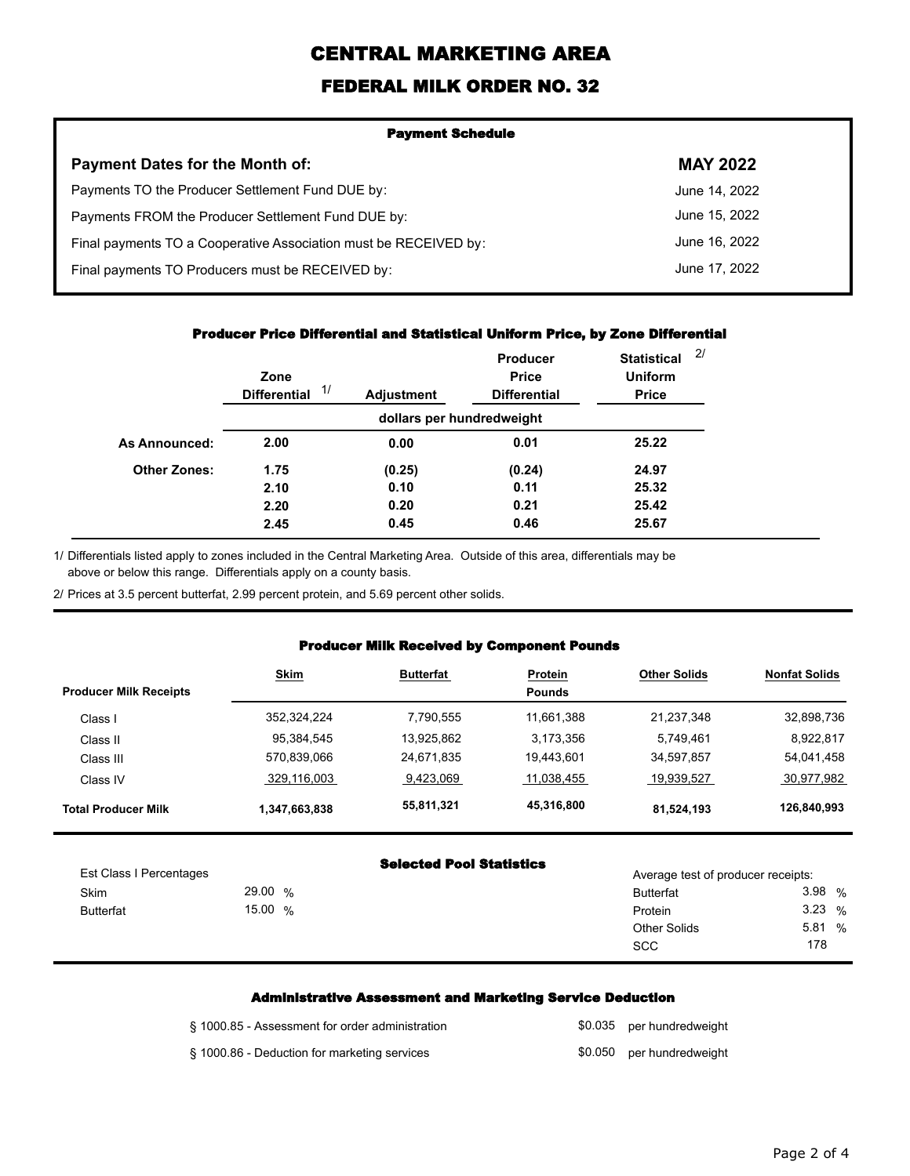# **CENTRAL MARKETING AREA**

## **FEDERAL MILK ORDER NO. 32**

| <b>Payment Schedule</b>                                          |                 |  |  |  |
|------------------------------------------------------------------|-----------------|--|--|--|
| <b>Payment Dates for the Month of:</b>                           | <b>MAY 2022</b> |  |  |  |
| Payments TO the Producer Settlement Fund DUE by:                 | June 14, 2022   |  |  |  |
| Payments FROM the Producer Settlement Fund DUE by:               | June 15, 2022   |  |  |  |
| Final payments TO a Cooperative Association must be RECEIVED by: | June 16, 2022   |  |  |  |
| Final payments TO Producers must be RECEIVED by:                 | June 17, 2022   |  |  |  |

#### **Producer Price Differential and Statistical Uniform Price, by Zone Differential**

|                     | Zone<br>1/<br><b>Differential</b> | <b>Adjustment</b>         | <b>Producer</b><br><b>Price</b><br><b>Differential</b> | 2/<br><b>Statistical</b><br><b>Uniform</b><br><b>Price</b> |
|---------------------|-----------------------------------|---------------------------|--------------------------------------------------------|------------------------------------------------------------|
|                     |                                   | dollars per hundredweight |                                                        |                                                            |
| As Announced:       | 2.00                              | 0.00                      | 0.01                                                   | 25.22                                                      |
| <b>Other Zones:</b> | 1.75                              | (0.25)                    | (0.24)                                                 | 24.97                                                      |
|                     | 2.10                              | 0.10                      | 0.11                                                   | 25.32                                                      |
|                     | 2.20                              | 0.20                      | 0.21                                                   | 25.42                                                      |
|                     | 2.45                              | 0.45                      | 0.46                                                   | 25.67                                                      |

1/ Differentials listed apply to zones included in the Central Marketing Area. Outside of this area, differentials may be above or below this range. Differentials apply on a county basis.

2/ Prices at 3.5 percent butterfat, 2.99 percent protein, and 5.69 percent other solids.

#### **Producer Milk Received by Component Pounds**

| <b>Producer Milk Receipts</b> | <b>Skim</b>   | <b>Butterfat</b> | Protein<br><b>Pounds</b> | <b>Other Solids</b> | <b>Nonfat Solids</b> |
|-------------------------------|---------------|------------------|--------------------------|---------------------|----------------------|
| Class I                       | 352,324,224   | 7,790,555        | 11,661,388               | 21,237,348          | 32,898,736           |
| Class II                      | 95.384.545    | 13.925.862       | 3.173.356                | 5.749.461           | 8,922,817            |
| Class III                     | 570.839.066   | 24,671,835       | 19.443.601               | 34,597,857          | 54,041,458           |
| Class IV                      | 329.116.003   | 9.423.069        | 11.038.455               | 19.939.527          | 30,977,982           |
| <b>Total Producer Milk</b>    | 1,347,663,838 | 55,811,321       | 45,316,800               | 81,524,193          | 126,840,993          |

| <b>Selected Pool Statistics</b> |  |  |
|---------------------------------|--|--|
|---------------------------------|--|--|

|                         |         | selected rool statistics |                                    |       |  |
|-------------------------|---------|--------------------------|------------------------------------|-------|--|
| Est Class I Percentages |         |                          | Average test of producer receipts: |       |  |
| Skim                    | 29.00 % |                          | <b>Butterfat</b>                   | 3.98% |  |
| <b>Butterfat</b>        | 15.00 % |                          | Protein                            | 3.23% |  |
|                         |         |                          | <b>Other Solids</b>                | 5.81% |  |
|                         |         |                          | <b>SCC</b>                         | 178   |  |
|                         |         |                          |                                    |       |  |

### **Administrative Assessment and Marketing Service Deduction**

| § 1000.85 - Assessment for order administration | \$0.035 per hundredweight |
|-------------------------------------------------|---------------------------|
| § 1000.86 - Deduction for marketing services    | \$0.050 per hundredweight |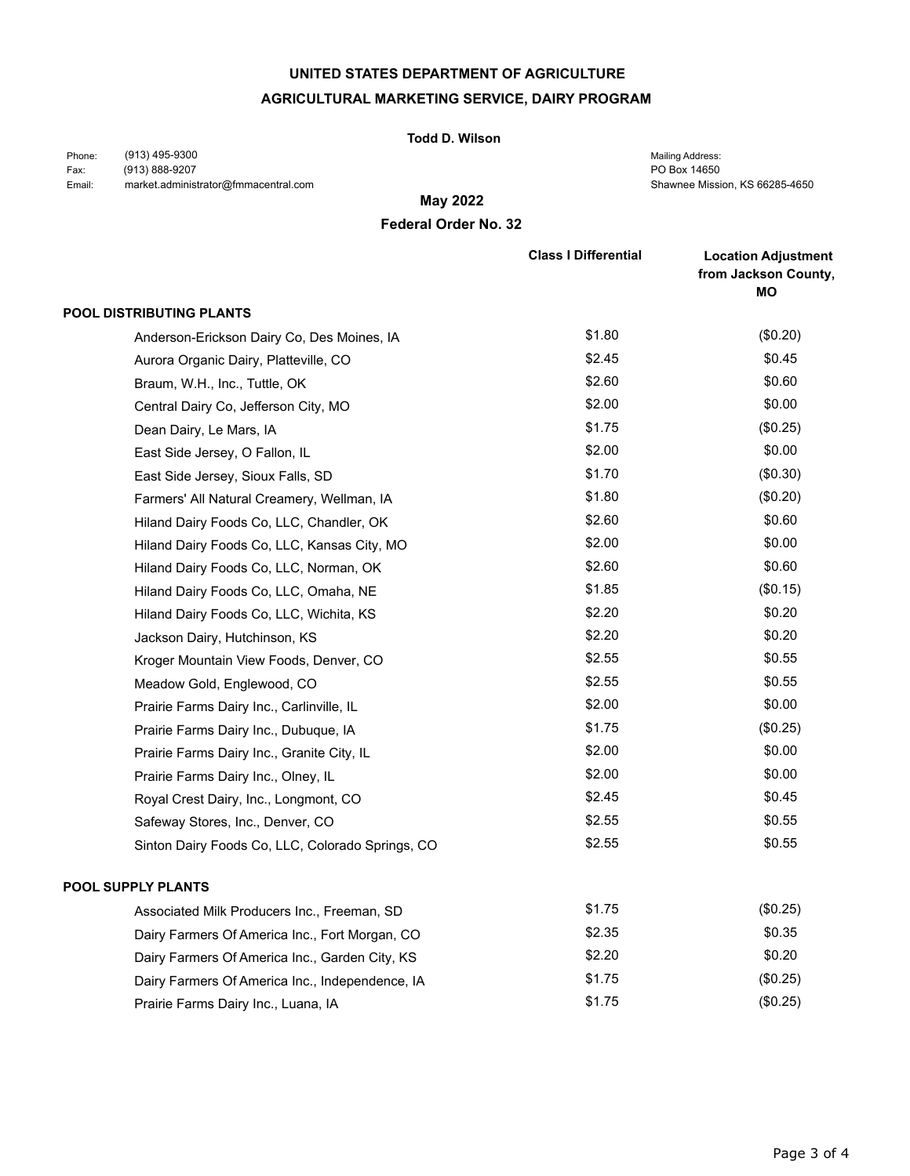### **UNITED STATES DEPARTMENT OF AGRICULTURE**

### **AGRICULTURAL MARKETING SERVICE, DAIRY PROGRAM**

#### **Todd D. Wilson**

(913) 495-9300 (913) 888-9207 market.administrator@fmmacentral.com Phone: Fax: Email:

PO Box 14650 Shawnee Mission, KS 66285-4650 Mailing Address:

**May 2022**

### **Federal Order No. 32**

|                                                  | <b>Class I Differential</b> | <b>Location Adjustment</b><br>from Jackson County,<br>ΜO |
|--------------------------------------------------|-----------------------------|----------------------------------------------------------|
| <b>POOL DISTRIBUTING PLANTS</b>                  |                             |                                                          |
| Anderson-Erickson Dairy Co, Des Moines, IA       | \$1.80                      | $(\$0.20)$                                               |
| Aurora Organic Dairy, Platteville, CO            | \$2.45                      | \$0.45                                                   |
| Braum, W.H., Inc., Tuttle, OK                    | \$2.60                      | \$0.60                                                   |
| Central Dairy Co, Jefferson City, MO             | \$2.00                      | \$0.00                                                   |
| Dean Dairy, Le Mars, IA                          | \$1.75                      | (\$0.25)                                                 |
| East Side Jersey, O Fallon, IL                   | \$2.00                      | \$0.00                                                   |
| East Side Jersey, Sioux Falls, SD                | \$1.70                      | (\$0.30)                                                 |
| Farmers' All Natural Creamery, Wellman, IA       | \$1.80                      | (\$0.20)                                                 |
| Hiland Dairy Foods Co, LLC, Chandler, OK         | \$2.60                      | \$0.60                                                   |
| Hiland Dairy Foods Co, LLC, Kansas City, MO      | \$2.00                      | \$0.00                                                   |
| Hiland Dairy Foods Co, LLC, Norman, OK           | \$2.60                      | \$0.60                                                   |
| Hiland Dairy Foods Co, LLC, Omaha, NE            | \$1.85                      | (\$0.15)                                                 |
| Hiland Dairy Foods Co, LLC, Wichita, KS          | \$2.20                      | \$0.20                                                   |
| Jackson Dairy, Hutchinson, KS                    | \$2.20                      | \$0.20                                                   |
| Kroger Mountain View Foods, Denver, CO           | \$2.55                      | \$0.55                                                   |
| Meadow Gold, Englewood, CO                       | \$2.55                      | \$0.55                                                   |
| Prairie Farms Dairy Inc., Carlinville, IL        | \$2.00                      | \$0.00                                                   |
| Prairie Farms Dairy Inc., Dubuque, IA            | \$1.75                      | (\$0.25)                                                 |
| Prairie Farms Dairy Inc., Granite City, IL       | \$2.00                      | \$0.00                                                   |
| Prairie Farms Dairy Inc., Olney, IL              | \$2.00                      | \$0.00                                                   |
| Royal Crest Dairy, Inc., Longmont, CO            | \$2.45                      | \$0.45                                                   |
| Safeway Stores, Inc., Denver, CO                 | \$2.55                      | \$0.55                                                   |
| Sinton Dairy Foods Co, LLC, Colorado Springs, CO | \$2.55                      | \$0.55                                                   |
| <b>POOL SUPPLY PLANTS</b>                        |                             |                                                          |
| Associated Milk Producers Inc., Freeman, SD      | \$1.75                      | (\$0.25)                                                 |
| Dairy Farmers Of America Inc., Fort Morgan, CO   | \$2.35                      | \$0.35                                                   |
| Dairy Farmers Of America Inc., Garden City, KS   | \$2.20                      | \$0.20                                                   |
| Dairy Farmers Of America Inc., Independence, IA  | \$1.75                      | (\$0.25)                                                 |
| Prairie Farms Dairy Inc., Luana, IA              | \$1.75                      | (\$0.25)                                                 |